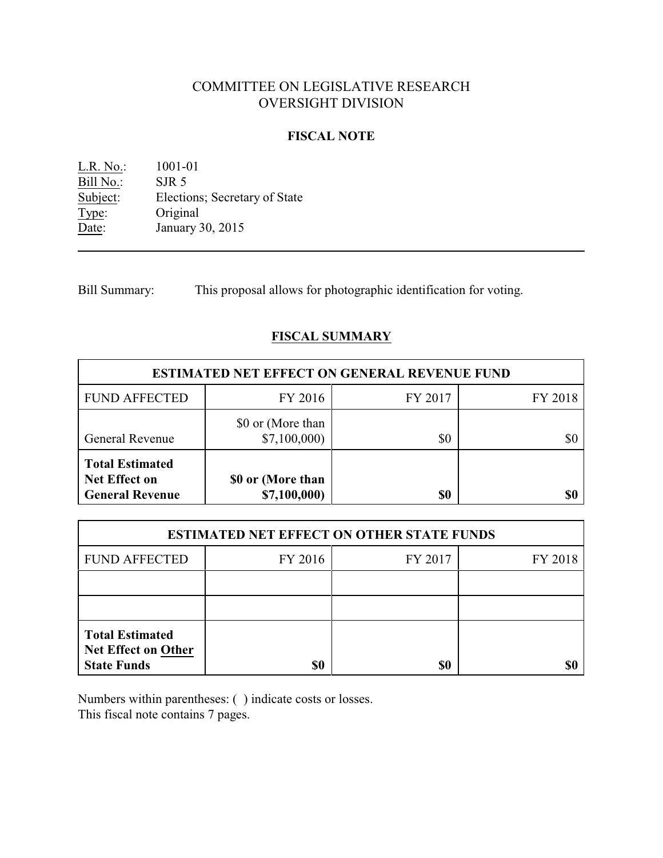# COMMITTEE ON LEGISLATIVE RESEARCH OVERSIGHT DIVISION

### **FISCAL NOTE**

L.R. No.: 1001-01 Bill No.: SJR 5<br>Subject: Electic Elections; Secretary of State Type: Original Date: January 30, 2015

Bill Summary: This proposal allows for photographic identification for voting.

# **FISCAL SUMMARY**

| <b>ESTIMATED NET EFFECT ON GENERAL REVENUE FUND</b>                      |                                   |         |         |  |
|--------------------------------------------------------------------------|-----------------------------------|---------|---------|--|
| <b>FUND AFFECTED</b>                                                     | FY 2016                           | FY 2017 | FY 2018 |  |
| <b>General Revenue</b>                                                   | \$0 or (More than<br>\$7,100,000  | \$0     | \$0     |  |
| <b>Total Estimated</b><br><b>Net Effect on</b><br><b>General Revenue</b> | \$0 or (More than<br>\$7,100,000) | \$0     | \$0     |  |

| <b>ESTIMATED NET EFFECT ON OTHER STATE FUNDS</b>                           |         |         |         |  |
|----------------------------------------------------------------------------|---------|---------|---------|--|
| <b>FUND AFFECTED</b>                                                       | FY 2016 | FY 2017 | FY 2018 |  |
|                                                                            |         |         |         |  |
|                                                                            |         |         |         |  |
| <b>Total Estimated</b><br><b>Net Effect on Other</b><br><b>State Funds</b> | \$0     | \$0     |         |  |

Numbers within parentheses: ( ) indicate costs or losses. This fiscal note contains 7 pages.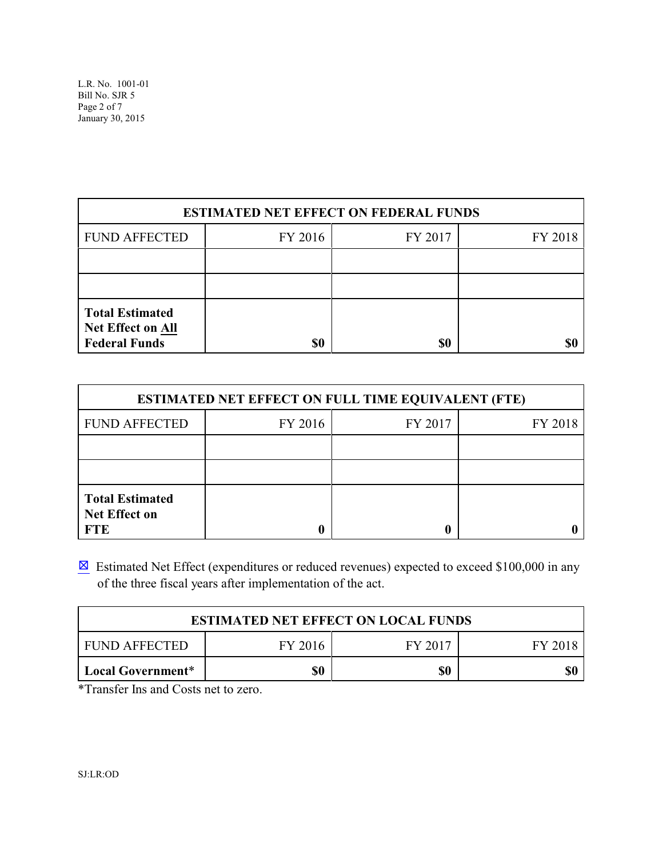L.R. No. 1001-01 Bill No. SJR 5 Page 2 of 7 January 30, 2015

| <b>ESTIMATED NET EFFECT ON FEDERAL FUNDS</b>                               |         |         |         |  |
|----------------------------------------------------------------------------|---------|---------|---------|--|
| <b>FUND AFFECTED</b>                                                       | FY 2016 | FY 2017 | FY 2018 |  |
|                                                                            |         |         |         |  |
|                                                                            |         |         |         |  |
| <b>Total Estimated</b><br><b>Net Effect on All</b><br><b>Federal Funds</b> | \$0     | \$0     |         |  |

| <b>ESTIMATED NET EFFECT ON FULL TIME EQUIVALENT (FTE)</b>    |         |         |         |  |
|--------------------------------------------------------------|---------|---------|---------|--|
| <b>FUND AFFECTED</b>                                         | FY 2016 | FY 2017 | FY 2018 |  |
|                                                              |         |         |         |  |
|                                                              |         |         |         |  |
| <b>Total Estimated</b><br><b>Net Effect on</b><br><b>FTE</b> |         |         |         |  |

 $\boxtimes$  Estimated Net Effect (expenditures or reduced revenues) expected to exceed \$100,000 in any of the three fiscal years after implementation of the act.

| <b>ESTIMATED NET EFFECT ON LOCAL FUNDS</b> |         |         |         |
|--------------------------------------------|---------|---------|---------|
| <b>FUND AFFECTED</b>                       | FY 2016 | FY 2017 | FY 2018 |
| Local Government*                          | \$0     | \$0     |         |

\*Transfer Ins and Costs net to zero.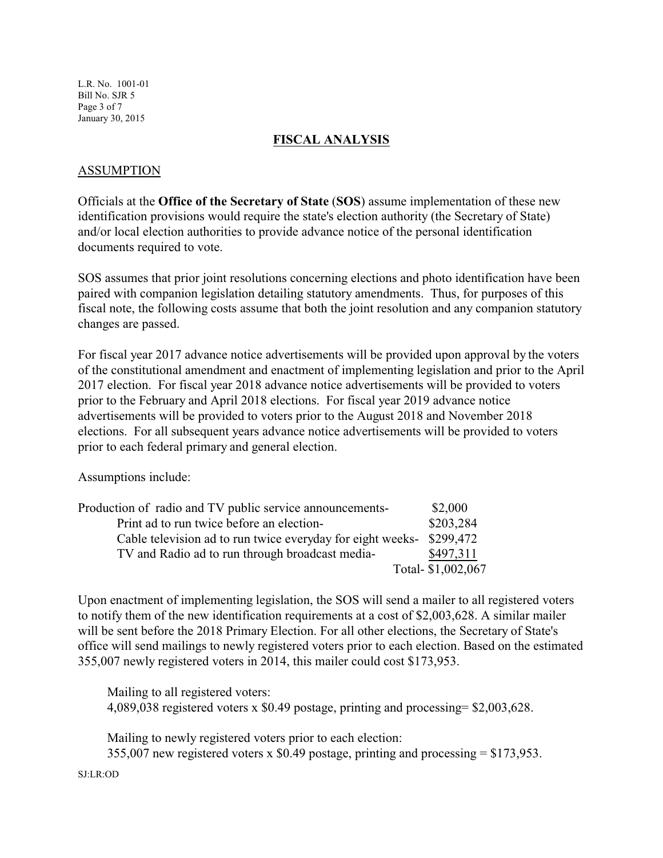L.R. No. 1001-01 Bill No. SJR 5 Page 3 of 7 January 30, 2015

## **FISCAL ANALYSIS**

### ASSUMPTION

Officials at the **Office of the Secretary of State** (**SOS**) assume implementation of these new identification provisions would require the state's election authority (the Secretary of State) and/or local election authorities to provide advance notice of the personal identification documents required to vote.

SOS assumes that prior joint resolutions concerning elections and photo identification have been paired with companion legislation detailing statutory amendments. Thus, for purposes of this fiscal note, the following costs assume that both the joint resolution and any companion statutory changes are passed.

For fiscal year 2017 advance notice advertisements will be provided upon approval by the voters of the constitutional amendment and enactment of implementing legislation and prior to the April 2017 election. For fiscal year 2018 advance notice advertisements will be provided to voters prior to the February and April 2018 elections. For fiscal year 2019 advance notice advertisements will be provided to voters prior to the August 2018 and November 2018 elections. For all subsequent years advance notice advertisements will be provided to voters prior to each federal primary and general election.

Assumptions include:

| Production of radio and TV public service announcements-             | \$2,000           |
|----------------------------------------------------------------------|-------------------|
| Print ad to run twice before an election-                            | \$203,284         |
| Cable television ad to run twice everyday for eight weeks- \$299,472 |                   |
| TV and Radio ad to run through broadcast media-                      | \$497,311         |
|                                                                      | Total-\$1,002,067 |

Upon enactment of implementing legislation, the SOS will send a mailer to all registered voters to notify them of the new identification requirements at a cost of \$2,003,628. A similar mailer will be sent before the 2018 Primary Election. For all other elections, the Secretary of State's office will send mailings to newly registered voters prior to each election. Based on the estimated 355,007 newly registered voters in 2014, this mailer could cost \$173,953.

 Mailing to all registered voters: 4,089,038 registered voters x \$0.49 postage, printing and processing= \$2,003,628.

 Mailing to newly registered voters prior to each election: 355,007 new registered voters x \$0.49 postage, printing and processing = \$173,953.

SJ:LR:OD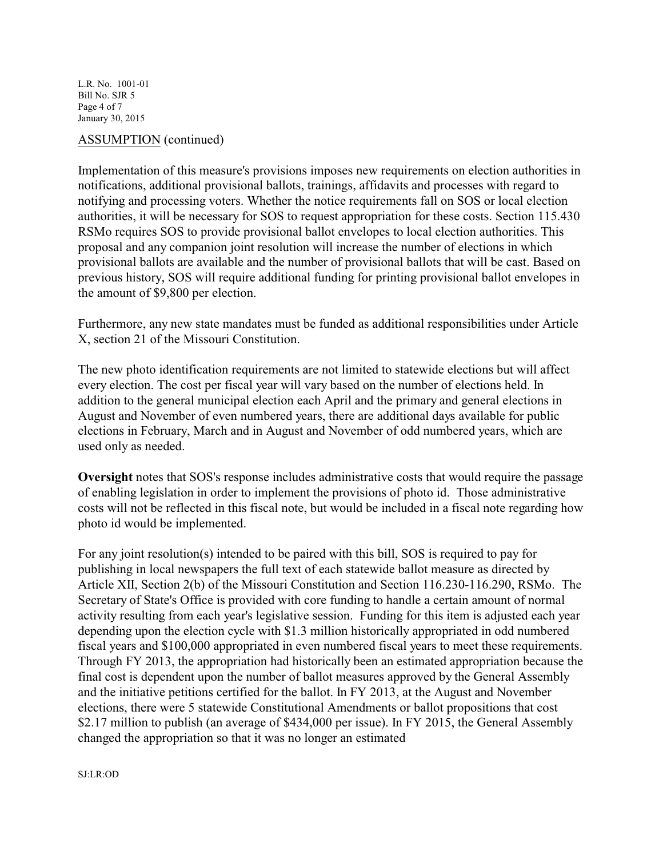L.R. No. 1001-01 Bill No. SJR 5 Page 4 of 7 January 30, 2015

#### ASSUMPTION (continued)

Implementation of this measure's provisions imposes new requirements on election authorities in notifications, additional provisional ballots, trainings, affidavits and processes with regard to notifying and processing voters. Whether the notice requirements fall on SOS or local election authorities, it will be necessary for SOS to request appropriation for these costs. Section 115.430 RSMo requires SOS to provide provisional ballot envelopes to local election authorities. This proposal and any companion joint resolution will increase the number of elections in which provisional ballots are available and the number of provisional ballots that will be cast. Based on previous history, SOS will require additional funding for printing provisional ballot envelopes in the amount of \$9,800 per election.

Furthermore, any new state mandates must be funded as additional responsibilities under Article X, section 21 of the Missouri Constitution.

The new photo identification requirements are not limited to statewide elections but will affect every election. The cost per fiscal year will vary based on the number of elections held. In addition to the general municipal election each April and the primary and general elections in August and November of even numbered years, there are additional days available for public elections in February, March and in August and November of odd numbered years, which are used only as needed.

**Oversight** notes that SOS's response includes administrative costs that would require the passage of enabling legislation in order to implement the provisions of photo id. Those administrative costs will not be reflected in this fiscal note, but would be included in a fiscal note regarding how photo id would be implemented.

For any joint resolution(s) intended to be paired with this bill, SOS is required to pay for publishing in local newspapers the full text of each statewide ballot measure as directed by Article XII, Section 2(b) of the Missouri Constitution and Section 116.230-116.290, RSMo. The Secretary of State's Office is provided with core funding to handle a certain amount of normal activity resulting from each year's legislative session. Funding for this item is adjusted each year depending upon the election cycle with \$1.3 million historically appropriated in odd numbered fiscal years and \$100,000 appropriated in even numbered fiscal years to meet these requirements. Through FY 2013, the appropriation had historically been an estimated appropriation because the final cost is dependent upon the number of ballot measures approved by the General Assembly and the initiative petitions certified for the ballot. In FY 2013, at the August and November elections, there were 5 statewide Constitutional Amendments or ballot propositions that cost \$2.17 million to publish (an average of \$434,000 per issue). In FY 2015, the General Assembly changed the appropriation so that it was no longer an estimated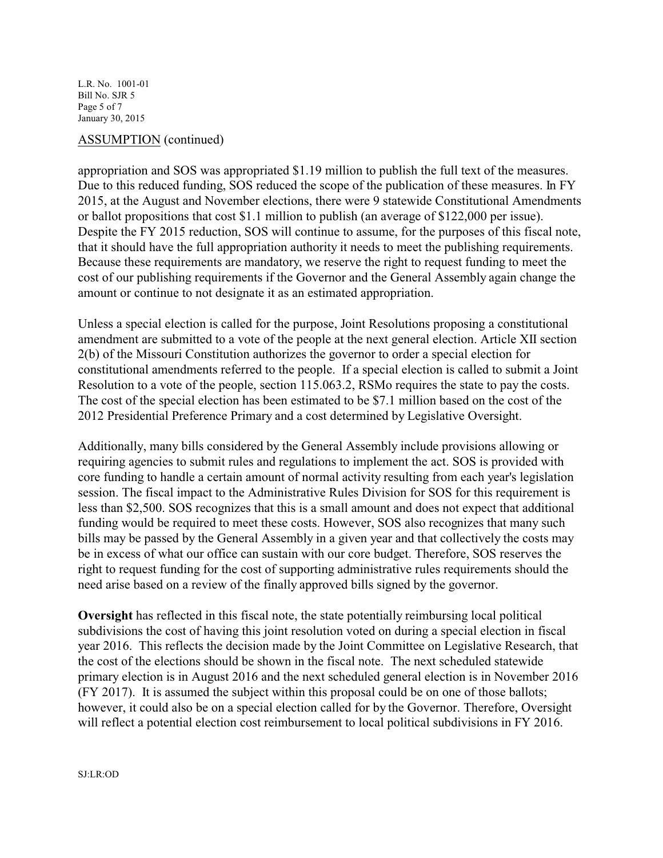L.R. No. 1001-01 Bill No. SJR 5 Page 5 of 7 January 30, 2015

#### ASSUMPTION (continued)

appropriation and SOS was appropriated \$1.19 million to publish the full text of the measures. Due to this reduced funding, SOS reduced the scope of the publication of these measures. In FY 2015, at the August and November elections, there were 9 statewide Constitutional Amendments or ballot propositions that cost \$1.1 million to publish (an average of \$122,000 per issue). Despite the FY 2015 reduction, SOS will continue to assume, for the purposes of this fiscal note, that it should have the full appropriation authority it needs to meet the publishing requirements. Because these requirements are mandatory, we reserve the right to request funding to meet the cost of our publishing requirements if the Governor and the General Assembly again change the amount or continue to not designate it as an estimated appropriation.

Unless a special election is called for the purpose, Joint Resolutions proposing a constitutional amendment are submitted to a vote of the people at the next general election. Article XII section 2(b) of the Missouri Constitution authorizes the governor to order a special election for constitutional amendments referred to the people. If a special election is called to submit a Joint Resolution to a vote of the people, section 115.063.2, RSMo requires the state to pay the costs. The cost of the special election has been estimated to be \$7.1 million based on the cost of the 2012 Presidential Preference Primary and a cost determined by Legislative Oversight.

Additionally, many bills considered by the General Assembly include provisions allowing or requiring agencies to submit rules and regulations to implement the act. SOS is provided with core funding to handle a certain amount of normal activity resulting from each year's legislation session. The fiscal impact to the Administrative Rules Division for SOS for this requirement is less than \$2,500. SOS recognizes that this is a small amount and does not expect that additional funding would be required to meet these costs. However, SOS also recognizes that many such bills may be passed by the General Assembly in a given year and that collectively the costs may be in excess of what our office can sustain with our core budget. Therefore, SOS reserves the right to request funding for the cost of supporting administrative rules requirements should the need arise based on a review of the finally approved bills signed by the governor.

**Oversight** has reflected in this fiscal note, the state potentially reimbursing local political subdivisions the cost of having this joint resolution voted on during a special election in fiscal year 2016. This reflects the decision made by the Joint Committee on Legislative Research, that the cost of the elections should be shown in the fiscal note. The next scheduled statewide primary election is in August 2016 and the next scheduled general election is in November 2016 (FY 2017). It is assumed the subject within this proposal could be on one of those ballots; however, it could also be on a special election called for by the Governor. Therefore, Oversight will reflect a potential election cost reimbursement to local political subdivisions in FY 2016.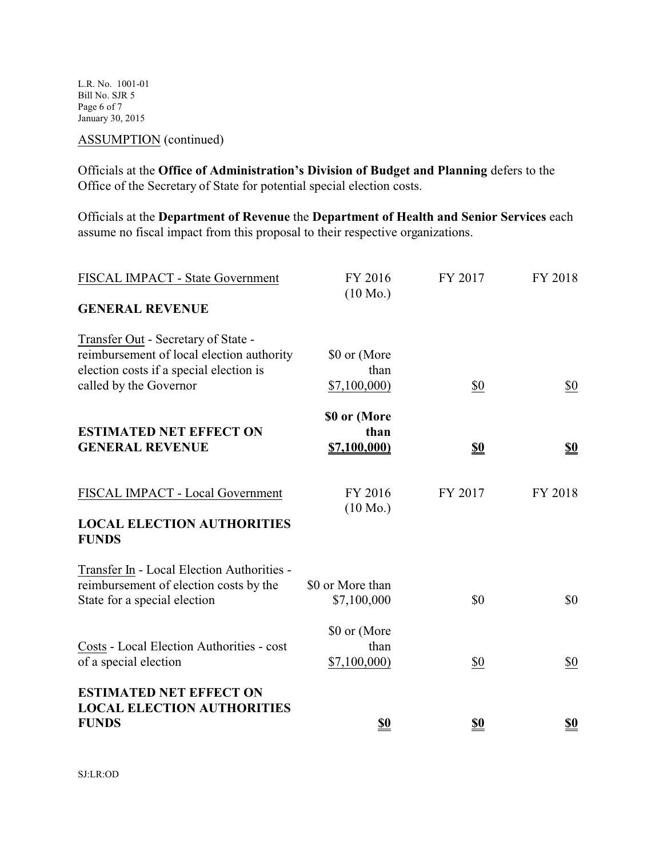L.R. No. 1001-01 Bill No. SJR 5 Page 6 of 7 January 30, 2015

ASSUMPTION (continued)

Officials at the **Office of Administration's Division of Budget and Planning** defers to the Office of the Secretary of State for potential special election costs.

Officials at the **Department of Revenue** the **Department of Health and Senior Services** each assume no fiscal impact from this proposal to their respective organizations.

| FISCAL IMPACT - State Government                                                                                                                      | FY 2016                             | FY 2017    | FY 2018    |
|-------------------------------------------------------------------------------------------------------------------------------------------------------|-------------------------------------|------------|------------|
| <b>GENERAL REVENUE</b>                                                                                                                                | $(10 \text{ Mo.})$                  |            |            |
| Transfer Out - Secretary of State -<br>reimbursement of local election authority<br>election costs if a special election is<br>called by the Governor | \$0 or (More<br>than<br>\$7,100,000 | \$0        | \$0        |
| <b>ESTIMATED NET EFFECT ON</b><br><b>GENERAL REVENUE</b>                                                                                              | \$0 or (More<br>than<br>\$7,100,000 | <u>\$0</u> | <u>\$0</u> |
| FISCAL IMPACT - Local Government<br><b>LOCAL ELECTION AUTHORITIES</b><br><b>FUNDS</b>                                                                 | FY 2016<br>$(10 \text{ Mo.})$       | FY 2017    | FY 2018    |
| Transfer In - Local Election Authorities -<br>reimbursement of election costs by the<br>State for a special election                                  | \$0 or More than<br>\$7,100,000     | \$0        | \$0        |
| Costs - Local Election Authorities - cost<br>of a special election                                                                                    | \$0 or (More<br>than<br>\$7,100,000 | \$0        | \$0        |
| <b>ESTIMATED NET EFFECT ON</b><br><b>LOCAL ELECTION AUTHORITIES</b><br><b>FUNDS</b>                                                                   | <u>\$0</u>                          | <u>\$0</u> | <u>\$0</u> |